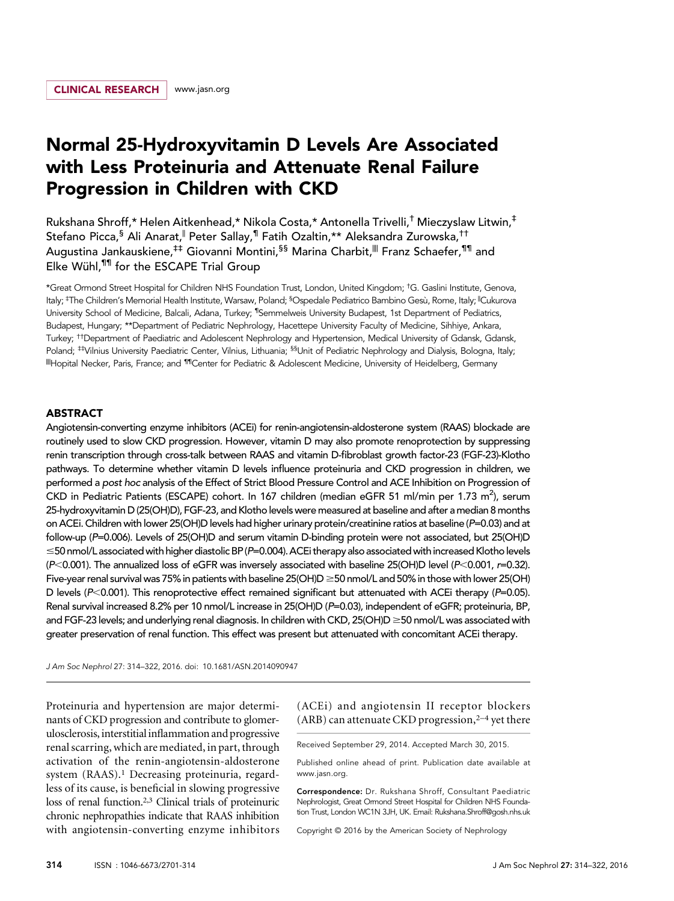# Normal 25-Hydroxyvitamin D Levels Are Associated with Less Proteinuria and Attenuate Renal Failure Progression in Children with CKD

Rukshana Shroff,\* Helen Aitkenhead,\* Nikola Costa,\* Antonella Trivelli,† Mieczyslaw Litwin,‡ Stefano Picca,<sup>§</sup> Ali Anarat,<sup>||</sup> Peter Sallay,<sup>¶</sup> Fatih Ozaltin, \*\* Aleksandra Zurowska,<sup>††</sup> Augustina Jankauskiene,<sup>#‡</sup> Giovanni Montini,<sup>§§</sup> Marina Charbit,<sup>|||</sup> Franz Schaefer,<sup>¶¶</sup> and Elke Wühl,¶¶ for the ESCAPE Trial Group

\*Great Ormond Street Hospital for Children NHS Foundation Trust, London, United Kingdom; † G. Gaslini Institute, Genova, Italy; ‡The Children's Memorial Health Institute, Warsaw, Poland; <sup>§</sup>Ospedale Pediatrico Bambino Gesù, Rome, Italy; <sup>||</sup>Cukurova University School of Medicine, Balcali, Adana, Turkey; <sup>1</sup>ISemmelweis University Budapest, 1st Department of Pediatrics, Budapest, Hungary; \*\*Department of Pediatric Nephrology, Hacettepe University Faculty of Medicine, Sihhiye, Ankara, Turkey; ††Department of Paediatric and Adolescent Nephrology and Hypertension, Medical University of Gdansk, Gdansk, Poland; <sup>‡‡</sup>Vilnius University Paediatric Center, Vilnius, Lithuania; <sup>§§</sup>Unit of Pediatric Nephrology and Dialysis, Bologna, Italy; ||Hopital Necker, Paris, France; and ¶¶Center for Pediatric & Adolescent Medicine, University of Heidelberg, Germany

## ABSTRACT

Angiotensin-converting enzyme inhibitors (ACEi) for renin-angiotensin-aldosterone system (RAAS) blockade are routinely used to slow CKD progression. However, vitamin D may also promote renoprotection by suppressing renin transcription through cross-talk between RAAS and vitamin D-fibroblast growth factor-23 (FGF-23)-Klotho pathways. To determine whether vitamin D levels influence proteinuria and CKD progression in children, we performed a post hoc analysis of the Effect of Strict Blood Pressure Control and ACE Inhibition on Progression of CKD in Pediatric Patients (ESCAPE) cohort. In 167 children (median eGFR 51 ml/min per 1.73 m<sup>2</sup>), serum 25-hydroxyvitamin D (25(OH)D), FGF-23, and Klotho levels were measured at baseline and after a median 8 months on ACEi. Children with lower 25(OH)D levels had higher urinary protein/creatinine ratios at baseline (P=0.03) and at follow-up (P=0.006). Levels of 25(OH)D and serum vitamin D-binding protein were not associated, but 25(OH)D  $\leq$ 50 nmol/L associated with higher diastolic BP(P=0.004). ACEi therapy also associated with increased Klotho levels (P<0.001). The annualized loss of eGFR was inversely associated with baseline 25(OH)D level (P<0.001,  $r=0.32$ ). Five-year renal survival was 75% in patients with baseline 25(OH)D  $\geq$ 50 nmol/L and 50% in those with lower 25(OH) D levels ( $P<0.001$ ). This renoprotective effect remained significant but attenuated with ACEi therapy ( $P=0.05$ ). Renal survival increased 8.2% per 10 nmol/L increase in 25(OH)D (P=0.03), independent of eGFR; proteinuria, BP, and FGF-23 levels; and underlying renal diagnosis. In children with CKD, 25(OH)D  $\geq$ 50 nmol/L was associated with greater preservation of renal function. This effect was present but attenuated with concomitant ACEi therapy.

J Am Soc Nephrol 27: 314–322, 2016. doi: 10.1681/ASN.2014090947

Proteinuria and hypertension are major determinants of CKD progression and contribute to glomerulosclerosis, interstitial inflammation and progressive renal scarring, which are mediated, in part, through activation of the renin-angiotensin-aldosterone system (RAAS).1 Decreasing proteinuria, regardless of its cause, is beneficial in slowing progressive loss of renal function.2,3 Clinical trials of proteinuric chronic nephropathies indicate that RAAS inhibition with angiotensin-converting enzyme inhibitors

(ACEi) and angiotensin II receptor blockers (ARB) can attenuate CKD progression,  $2-4$  yet there

Received September 29, 2014. Accepted March 30, 2015.

Published online ahead of print. Publication date available at [www.jasn.org](http://www.jasn.org).

Correspondence: Dr. Rukshana Shroff, Consultant Paediatric Nephrologist, Great Ormond Street Hospital for Children NHS Foundation Trust, London WC1N 3JH, UK. Email: [Rukshana.Shroff@gosh.nhs.uk](mailto:Rukshana.Shroff@gosh.nhs.uk)

Copyright © 2016 by the American Society of Nephrology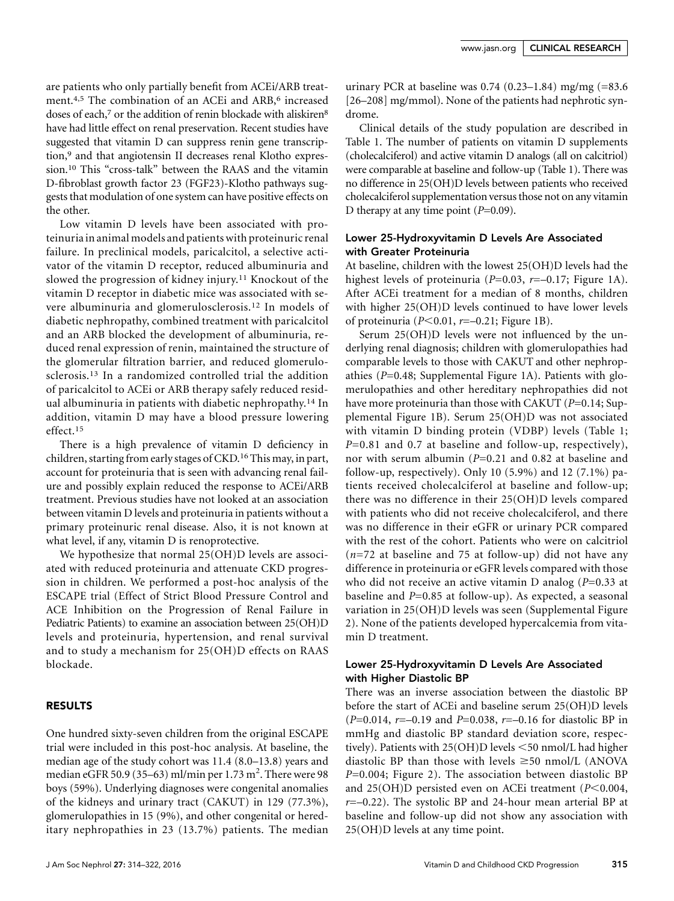are patients who only partially benefit from ACEi/ARB treatment.<sup>4,5</sup> The combination of an ACEi and ARB,<sup>6</sup> increased doses of each,<sup>7</sup> or the addition of renin blockade with aliskiren<sup>8</sup> have had little effect on renal preservation. Recent studies have suggested that vitamin D can suppress renin gene transcription,<sup>9</sup> and that angiotensin II decreases renal Klotho expression.10 This "cross-talk" between the RAAS and the vitamin D-fibroblast growth factor 23 (FGF23)-Klotho pathways suggests that modulation of one system can have positive effects on the other.

Low vitamin D levels have been associated with proteinuria in animal models and patients with proteinuric renal failure. In preclinical models, paricalcitol, a selective activator of the vitamin D receptor, reduced albuminuria and slowed the progression of kidney injury.<sup>11</sup> Knockout of the vitamin D receptor in diabetic mice was associated with severe albuminuria and glomerulosclerosis.12 In models of diabetic nephropathy, combined treatment with paricalcitol and an ARB blocked the development of albuminuria, reduced renal expression of renin, maintained the structure of the glomerular filtration barrier, and reduced glomerulosclerosis.13 In a randomized controlled trial the addition of paricalcitol to ACEi or ARB therapy safely reduced residual albuminuria in patients with diabetic nephropathy.14 In addition, vitamin D may have a blood pressure lowering effect.15

There is a high prevalence of vitamin D deficiency in children, starting from early stages of CKD.<sup>16</sup> This may, in part, account for proteinuria that is seen with advancing renal failure and possibly explain reduced the response to ACEi/ARB treatment. Previous studies have not looked at an association between vitamin D levels and proteinuria in patients without a primary proteinuric renal disease. Also, it is not known at what level, if any, vitamin D is renoprotective.

We hypothesize that normal 25(OH)D levels are associated with reduced proteinuria and attenuate CKD progression in children. We performed a post-hoc analysis of the ESCAPE trial (Effect of Strict Blood Pressure Control and ACE Inhibition on the Progression of Renal Failure in Pediatric Patients) to examine an association between 25(OH)D levels and proteinuria, hypertension, and renal survival and to study a mechanism for 25(OH)D effects on RAAS blockade.

# RESULTS

One hundred sixty-seven children from the original ESCAPE trial were included in this post-hoc analysis. At baseline, the median age of the study cohort was 11.4 (8.0–13.8) years and median eGFR 50.9 (35–63) ml/min per 1.73 m<sup>2</sup>. There were 98 boys (59%). Underlying diagnoses were congenital anomalies of the kidneys and urinary tract (CAKUT) in 129 (77.3%), glomerulopathies in 15 (9%), and other congenital or hereditary nephropathies in 23 (13.7%) patients. The median

urinary PCR at baseline was 0.74 (0.23–1.84) mg/mg (=83.6 [26–208] mg/mmol). None of the patients had nephrotic syndrome.

Clinical details of the study population are described in Table 1. The number of patients on vitamin D supplements (cholecalciferol) and active vitamin D analogs (all on calcitriol) were comparable at baseline and follow-up (Table 1). There was no difference in 25(OH)D levels between patients who received cholecalciferol supplementation versus those not on any vitamin D therapy at any time point  $(P=0.09)$ .

# Lower 25-Hydroxyvitamin D Levels Are Associated with Greater Proteinuria

At baseline, children with the lowest 25(OH)D levels had the highest levels of proteinuria ( $P=0.03$ ,  $r=-0.17$ ; Figure 1A). After ACEi treatment for a median of 8 months, children with higher 25(OH)D levels continued to have lower levels of proteinuria ( $P<0.01$ ,  $r=-0.21$ ; Figure 1B).

Serum 25(OH)D levels were not influenced by the underlying renal diagnosis; children with glomerulopathies had comparable levels to those with CAKUT and other nephropathies ( $P=0.48$ ; [Supplemental Figure 1A](http://jasn.asnjournals.org/lookup/suppl/doi:10.1681/ASN.2014090947/-/DCSupplemental)). Patients with glomerulopathies and other hereditary nephropathies did not have more proteinuria than those with CAKUT (P=0.14; [Sup](http://jasn.asnjournals.org/lookup/suppl/doi:10.1681/ASN.2014090947/-/DCSupplemental)[plemental Figure 1B](http://jasn.asnjournals.org/lookup/suppl/doi:10.1681/ASN.2014090947/-/DCSupplemental)). Serum 25(OH)D was not associated with vitamin D binding protein (VDBP) levels (Table 1;  $P=0.81$  and 0.7 at baseline and follow-up, respectively), nor with serum albumin (P=0.21 and 0.82 at baseline and follow-up, respectively). Only 10  $(5.9\%)$  and 12  $(7.1\%)$  patients received cholecalciferol at baseline and follow-up; there was no difference in their 25(OH)D levels compared with patients who did not receive cholecalciferol, and there was no difference in their eGFR or urinary PCR compared with the rest of the cohort. Patients who were on calcitriol  $(n=72$  at baseline and 75 at follow-up) did not have any difference in proteinuria or eGFR levels compared with those who did not receive an active vitamin D analog  $(P=0.33$  at baseline and  $P=0.85$  at follow-up). As expected, a seasonal variation in 25(OH)D levels was seen ([Supplemental Figure](http://jasn.asnjournals.org/lookup/suppl/doi:10.1681/ASN.2014090947/-/DCSupplemental) [2\)](http://jasn.asnjournals.org/lookup/suppl/doi:10.1681/ASN.2014090947/-/DCSupplemental). None of the patients developed hypercalcemia from vitamin D treatment.

# Lower 25-Hydroxyvitamin D Levels Are Associated with Higher Diastolic BP

There was an inverse association between the diastolic BP before the start of ACEi and baseline serum 25(OH)D levels  $(P=0.014, r=-0.19$  and  $P=0.038, r=-0.16$  for diastolic BP in mmHg and diastolic BP standard deviation score, respectively). Patients with  $25(OH)D$  levels  $\leq 50$  nmol/L had higher diastolic BP than those with levels  $\geq$ 50 nmol/L (ANOVA  $P=0.004$ ; Figure 2). The association between diastolic BP and 25(OH)D persisted even on ACEi treatment ( $P<0.004$ ,  $r=-0.22$ ). The systolic BP and 24-hour mean arterial BP at baseline and follow-up did not show any association with 25(OH)D levels at any time point.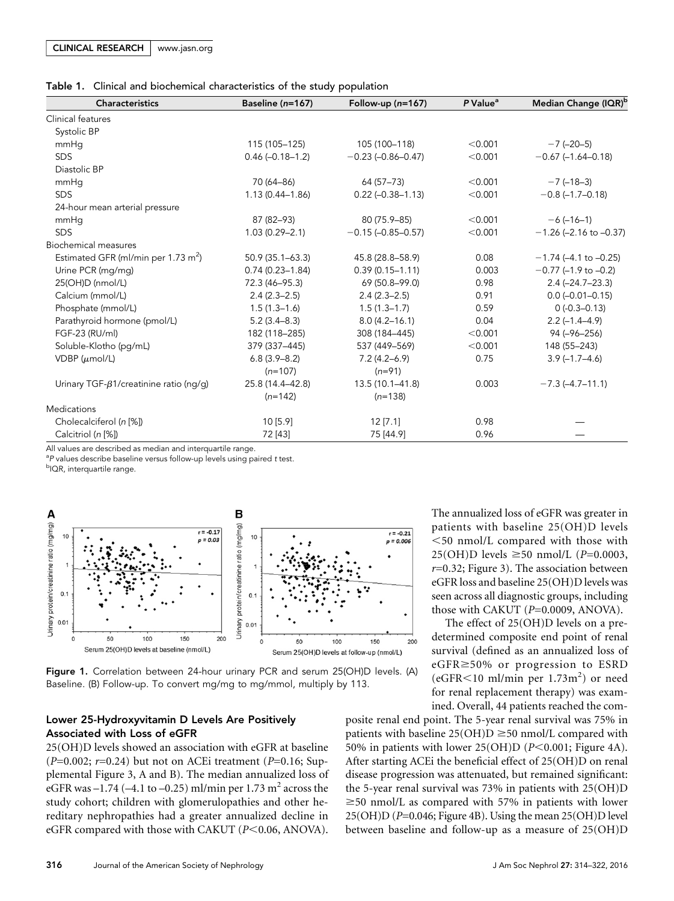|  |  |  | Table 1. Clinical and biochemical characteristics of the study population |  |  |  |  |  |
|--|--|--|---------------------------------------------------------------------------|--|--|--|--|--|
|--|--|--|---------------------------------------------------------------------------|--|--|--|--|--|

| <b>Characteristics</b>                          | Baseline (n=167)     | Follow-up $(n=167)$   | P Value <sup>a</sup> | Median Change (IQR) <sup>b</sup> |
|-------------------------------------------------|----------------------|-----------------------|----------------------|----------------------------------|
| Clinical features                               |                      |                       |                      |                                  |
| Systolic BP                                     |                      |                       |                      |                                  |
| mmHq                                            | 115 (105-125)        | 105 (100-118)         | < 0.001              | $-7$ ( $-20-5$ )                 |
| <b>SDS</b>                                      | $0.46 (-0.18 - 1.2)$ | $-0.23(-0.86-0.47)$   | < 0.001              | $-0.67(-1.64-0.18)$              |
| Diastolic BP                                    |                      |                       |                      |                                  |
| mmHq                                            | 70 (64-86)           | 64 (57-73)            | < 0.001              | $-7$ ( $-18-3$ )                 |
| SDS                                             | $1.13(0.44 - 1.86)$  | $0.22 (-0.38 - 1.13)$ | < 0.001              | $-0.8(-1.7-0.18)$                |
| 24-hour mean arterial pressure                  |                      |                       |                      |                                  |
| mmHq                                            | 87 (82-93)           | 80 (75.9-85)          | < 0.001              | $-6(-16-1)$                      |
| SDS                                             | $1.03(0.29 - 2.1)$   | $-0.15(-0.85-0.57)$   | < 0.001              | $-1.26$ (-2.16 to -0.37)         |
| <b>Biochemical measures</b>                     |                      |                       |                      |                                  |
| Estimated GFR (ml/min per 1.73 m <sup>2</sup> ) | $50.9(35.1 - 63.3)$  | 45.8 (28.8–58.9)      | 0.08                 | $-1.74$ (-4.1 to -0.25)          |
| Urine PCR (mg/mg)                               | $0.74(0.23 - 1.84)$  | $0.39(0.15 - 1.11)$   | 0.003                | $-0.77$ (-1.9 to $-0.2$ )        |
| 25(OH)D (nmol/L)                                | 72.3 (46-95.3)       | 69 (50.8-99.0)        | 0.98                 | $2.4 (-24.7 - 23.3)$             |
| Calcium (mmol/L)                                | $2.4(2.3 - 2.5)$     | $2.4(2.3 - 2.5)$      | 0.91                 | $0.0 (-0.01 - 0.15)$             |
| Phosphate (mmol/L)                              | $1.5(1.3-1.6)$       | $1.5(1.3-1.7)$        | 0.59                 | $0(-0.3 - 0.13)$                 |
| Parathyroid hormone (pmol/L)                    | $5.2(3.4 - 8.3)$     | $8.0(4.2 - 16.1)$     | 0.04                 | $2.2(-1.4-4.9)$                  |
| FGF-23 (RU/ml)                                  | 182 (118-285)        | 308 (184-445)         | < 0.001              | $94 (-96 - 256)$                 |
| Soluble-Klotho (pg/mL)                          | 379 (337-445)        | 537 (449-569)         | < 0.001              | 148 (55-243)                     |
| $VDBP$ ( $\mu$ mol/L)                           | $6.8(3.9 - 8.2)$     | $7.2(4.2 - 6.9)$      | 0.75                 | $3.9(-1.7-4.6)$                  |
|                                                 | $(n=107)$            | $(n=91)$              |                      |                                  |
| Urinary TGF- $\beta$ 1/creatinine ratio (ng/g)  | 25.8 (14.4-42.8)     | 13.5 (10.1-41.8)      | 0.003                | $-7.3 (-4.7 - 11.1)$             |
|                                                 | $(n=142)$            | $(n=138)$             |                      |                                  |
| <b>Medications</b>                              |                      |                       |                      |                                  |
| Cholecalciferol (n [%])                         | 10 [5.9]             | 12 [7.1]              | 0.98                 |                                  |
| Calcitriol (n [%])                              | 72 [43]              | 75 [44.9]             | 0.96                 |                                  |

All values are described as median and interquartile range.

<sup>a</sup>P values describe baseline versus follow-up levels using paired t test.

<sup>b</sup>IQR, interquartile range.



Figure 1. Correlation between 24-hour urinary PCR and serum 25(OH)D levels. (A) Baseline. (B) Follow-up. To convert mg/mg to mg/mmol, multiply by 113.

# Lower 25-Hydroxyvitamin D Levels Are Positively Associated with Loss of eGFR

25(OH)D levels showed an association with eGFR at baseline  $(P=0.002; r=0.24)$  but not on ACEi treatment  $(P=0.16;$  [Sup](http://jasn.asnjournals.org/lookup/suppl/doi:10.1681/ASN.2014090947/-/DCSupplemental)[plemental Figure 3, A and B](http://jasn.asnjournals.org/lookup/suppl/doi:10.1681/ASN.2014090947/-/DCSupplemental)). The median annualized loss of eGFR was  $-1.74$  ( $-4.1$  to  $-0.25$ ) ml/min per 1.73 m<sup>2</sup> across the study cohort; children with glomerulopathies and other hereditary nephropathies had a greater annualized decline in eGFR compared with those with CAKUT ( $P$ <0.06, ANOVA).

The annualized loss of eGFR was greater in patients with baseline 25(OH)D levels  $<$  50 nmol/L compared with those with 25(OH)D levels  $\geq 50$  nmol/L (P=0.0003,  $r=0.32$ ; Figure 3). The association between eGFR loss and baseline 25(OH)D levels was seen across all diagnostic groups, including those with CAKUT (P=0.0009, ANOVA).

The effect of 25(OH)D levels on a predetermined composite end point of renal survival (defined as an annualized loss of  $eGFR \ge 50\%$  or progression to ESRD  $(eGFR<10$  ml/min per  $1.73$ m<sup>2</sup>) or need for renal replacement therapy) was examined. Overall, 44 patients reached the com-

posite renal end point. The 5-year renal survival was 75% in patients with baseline  $25(OH)D \ge 50$  nmol/L compared with 50% in patients with lower  $25(OH)D (P<0.001$ ; Figure 4A). After starting ACEi the beneficial effect of 25(OH)D on renal disease progression was attenuated, but remained significant: the 5-year renal survival was 73% in patients with 25(OH)D  $\geq$ 50 nmol/L as compared with 57% in patients with lower 25(OH)D (P=0.046; Figure 4B). Using the mean 25(OH)D level between baseline and follow-up as a measure of 25(OH)D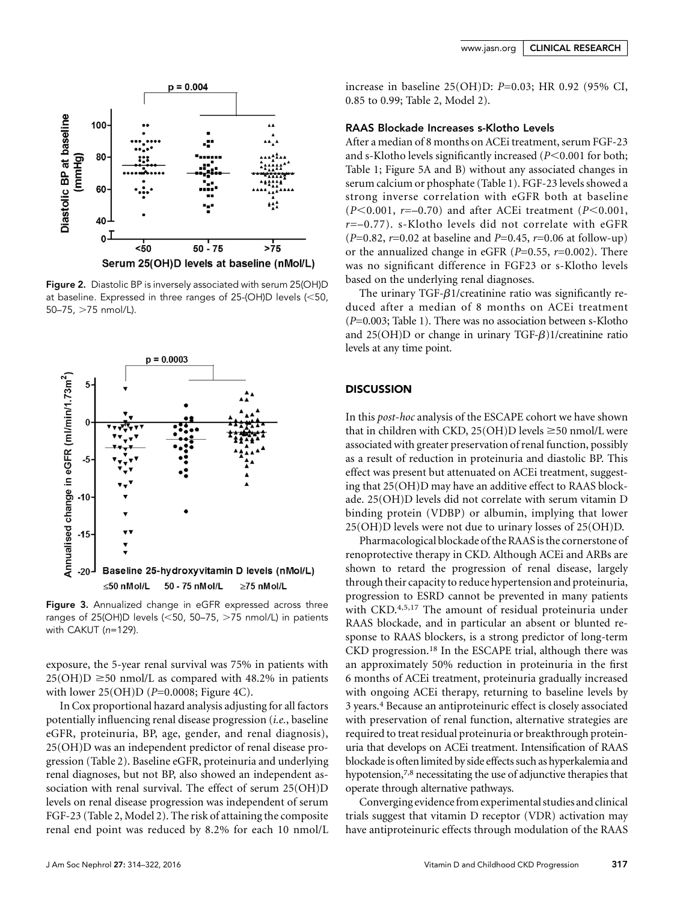

Figure 2. Diastolic BP is inversely associated with serum 25(OH)D at baseline. Expressed in three ranges of  $25$ -(OH)D levels (<50, 50–75,  $>75$  nmol/L).



Figure 3. Annualized change in eGFR expressed across three ranges of 25(OH)D levels ( $<$ 50, 50–75,  $>$ 75 nmol/L) in patients with CAKUT (n=129).

exposure, the 5-year renal survival was 75% in patients with  $25(OH)D \ge 50$  nmol/L as compared with 48.2% in patients with lower  $25(OH)D$  ( $P=0.0008$ ; Figure 4C).

In Cox proportional hazard analysis adjusting for all factors potentially influencing renal disease progression (i.e., baseline eGFR, proteinuria, BP, age, gender, and renal diagnosis), 25(OH)D was an independent predictor of renal disease progression (Table 2). Baseline eGFR, proteinuria and underlying renal diagnoses, but not BP, also showed an independent association with renal survival. The effect of serum 25(OH)D levels on renal disease progression was independent of serum FGF-23 (Table 2, Model 2). The risk of attaining the composite renal end point was reduced by 8.2% for each 10 nmol/L

increase in baseline 25(OH)D: P=0.03; HR 0.92 (95% CI, 0.85 to 0.99; Table 2, Model 2).

## RAAS Blockade Increases s-Klotho Levels

After a median of 8 months on ACEi treatment, serum FGF-23 and s-Klotho levels significantly increased ( $P<0.001$  for both; Table 1; Figure 5A and B) without any associated changes in serum calcium or phosphate (Table 1). FGF-23 levels showed a strong inverse correlation with eGFR both at baseline  $(P<0.001, r=-0.70)$  and after ACEi treatment ( $P<0.001$ ,  $r=-0.77$ ). s-Klotho levels did not correlate with eGFR  $(P=0.82, r=0.02$  at baseline and  $P=0.45, r=0.06$  at follow-up) or the annualized change in eGFR ( $P=0.55$ ,  $r=0.002$ ). There was no significant difference in FGF23 or s-Klotho levels based on the underlying renal diagnoses.

The urinary TGF- $\beta$ 1/creatinine ratio was significantly reduced after a median of 8 months on ACEi treatment (P=0.003; Table 1). There was no association between s-Klotho and  $25(OH)D$  or change in urinary TGF- $\beta$ )1/creatinine ratio levels at any time point.

## **DISCUSSION**

In this post-hoc analysis of the ESCAPE cohort we have shown that in children with CKD, 25(OH)D levels  $\geq$ 50 nmol/L were associated with greater preservation of renal function, possibly as a result of reduction in proteinuria and diastolic BP. This effect was present but attenuated on ACEi treatment, suggesting that 25(OH)D may have an additive effect to RAAS blockade. 25(OH)D levels did not correlate with serum vitamin D binding protein (VDBP) or albumin, implying that lower 25(OH)D levels were not due to urinary losses of 25(OH)D.

Pharmacological blockade of the RAAS is the cornerstone of renoprotective therapy in CKD. Although ACEi and ARBs are shown to retard the progression of renal disease, largely through their capacity to reduce hypertension and proteinuria, progression to ESRD cannot be prevented in many patients with CKD.4,5,17 The amount of residual proteinuria under RAAS blockade, and in particular an absent or blunted response to RAAS blockers, is a strong predictor of long-term CKD progression.18 In the ESCAPE trial, although there was an approximately 50% reduction in proteinuria in the first 6 months of ACEi treatment, proteinuria gradually increased with ongoing ACEi therapy, returning to baseline levels by 3 years.4 Because an antiproteinuric effect is closely associated with preservation of renal function, alternative strategies are required to treat residual proteinuria or breakthrough proteinuria that develops on ACEi treatment. Intensification of RAAS blockade is often limited by side effects such as hyperkalemia and hypotension,<sup>7,8</sup> necessitating the use of adjunctive therapies that operate through alternative pathways.

Converging evidence from experimental studies and clinical trials suggest that vitamin D receptor (VDR) activation may have antiproteinuric effects through modulation of the RAAS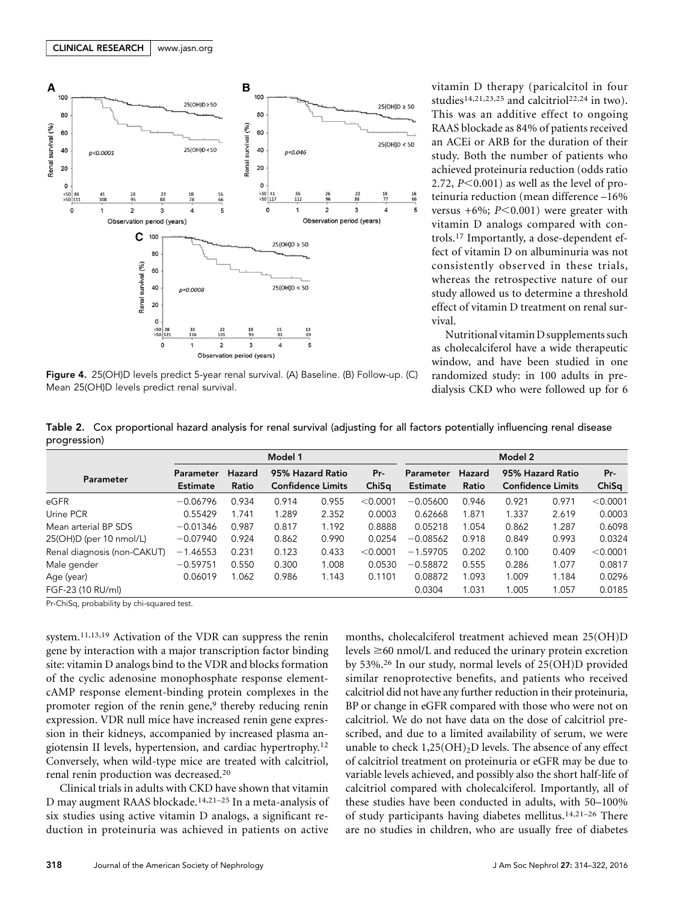

Figure 4. 25(OH)D levels predict 5-year renal survival. (A) Baseline. (B) Follow-up. (C) Mean 25(OH)D levels predict renal survival.

vitamin D therapy (paricalcitol in four studies<sup>14,21,23,25</sup> and calcitriol<sup>22,24</sup> in two). This was an additive effect to ongoing RAAS blockade as 84% of patients received an ACEi or ARB for the duration of their study. Both the number of patients who achieved proteinuria reduction (odds ratio 2.72,  $P<0.001$ ) as well as the level of proteinuria reduction (mean difference –16% versus  $+6\%$ ;  $P<0.001$ ) were greater with vitamin D analogs compared with controls.17 Importantly, a dose-dependent effect of vitamin D on albuminuria was not consistently observed in these trials, whereas the retrospective nature of our study allowed us to determine a threshold effect of vitamin D treatment on renal survival.

Nutritional vitamin D supplements such as cholecalciferol have a wide therapeutic window, and have been studied in one randomized study: in 100 adults in predialysis CKD who were followed up for 6

Table 2. Cox proportional hazard analysis for renal survival (adjusting for all factors potentially influencing renal disease progression)

|                             | Model 1    |                        |                  |                          |          |                 | Model 2 |                  |                          |          |  |  |
|-----------------------------|------------|------------------------|------------------|--------------------------|----------|-----------------|---------|------------------|--------------------------|----------|--|--|
| Parameter                   | Parameter  | <b>Hazard</b><br>Ratio | 95% Hazard Ratio |                          | Pr-      | Parameter       | Hazard  | 95% Hazard Ratio |                          | Pr-      |  |  |
|                             | Estimate   |                        |                  | <b>Confidence Limits</b> | ChiSq    | <b>Estimate</b> | Ratio   |                  | <b>Confidence Limits</b> | ChiSq    |  |  |
| eGFR                        | $-0.06796$ | 0.934                  | 0.914            | 0.955                    | < 0.0001 | $-0.05600$      | 0.946   | 0.921            | 0.971                    | < 0.0001 |  |  |
| Urine PCR                   | 0.55429    | 1.741                  | 1.289            | 2.352                    | 0.0003   | 0.62668         | 1.871   | 1.337            | 2.619                    | 0.0003   |  |  |
| Mean arterial BP SDS        | $-0.01346$ | 0.987                  | 0.817            | 1.192                    | 0.8888   | 0.05218         | 1.054   | 0.862            | 1.287                    | 0.6098   |  |  |
| 25(OH)D (per 10 nmol/L)     | $-0.07940$ | 0.924                  | 0.862            | 0.990                    | 0.0254   | $-0.08562$      | 0.918   | 0.849            | 0.993                    | 0.0324   |  |  |
| Renal diagnosis (non-CAKUT) | $-1.46553$ | 0.231                  | 0.123            | 0.433                    | < 0.0001 | $-1.59705$      | 0.202   | 0.100            | 0.409                    | < 0.0001 |  |  |
| Male gender                 | $-0.59751$ | 0.550                  | 0.300            | 1.008                    | 0.0530   | $-0.58872$      | 0.555   | 0.286            | 1.077                    | 0.0817   |  |  |
| Age (year)                  | 0.06019    | 1.062                  | 0.986            | 1.143                    | 0.1101   | 0.08872         | 1.093   | 1.009            | 1.184                    | 0.0296   |  |  |
| FGF-23 (10 RU/ml)           |            |                        |                  |                          |          | 0.0304          | 1.031   | 1.005            | 1.057                    | 0.0185   |  |  |

Pr-ChiSq, probability by chi-squared test.

system.11,13,19 Activation of the VDR can suppress the renin gene by interaction with a major transcription factor binding site: vitamin D analogs bind to the VDR and blocks formation of the cyclic adenosine monophosphate response elementcAMP response element-binding protein complexes in the promoter region of the renin gene,<sup>9</sup> thereby reducing renin expression. VDR null mice have increased renin gene expression in their kidneys, accompanied by increased plasma angiotensin II levels, hypertension, and cardiac hypertrophy.12 Conversely, when wild-type mice are treated with calcitriol, renal renin production was decreased.20

Clinical trials in adults with CKD have shown that vitamin D may augment RAAS blockade.14,21–<sup>25</sup> In a meta-analysis of six studies using active vitamin D analogs, a significant reduction in proteinuria was achieved in patients on active

months, cholecalciferol treatment achieved mean 25(OH)D levels  $\geq$ 60 nmol/L and reduced the urinary protein excretion by 53%.26 In our study, normal levels of 25(OH)D provided similar renoprotective benefits, and patients who received calcitriol did not have any further reduction in their proteinuria, BP or change in eGFR compared with those who were not on calcitriol. We do not have data on the dose of calcitriol prescribed, and due to a limited availability of serum, we were unable to check  $1,25(OH)_{2}D$  levels. The absence of any effect of calcitriol treatment on proteinuria or eGFR may be due to variable levels achieved, and possibly also the short half-life of calcitriol compared with cholecalciferol. Importantly, all of these studies have been conducted in adults, with 50–100% of study participants having diabetes mellitus.14,21–<sup>26</sup> There are no studies in children, who are usually free of diabetes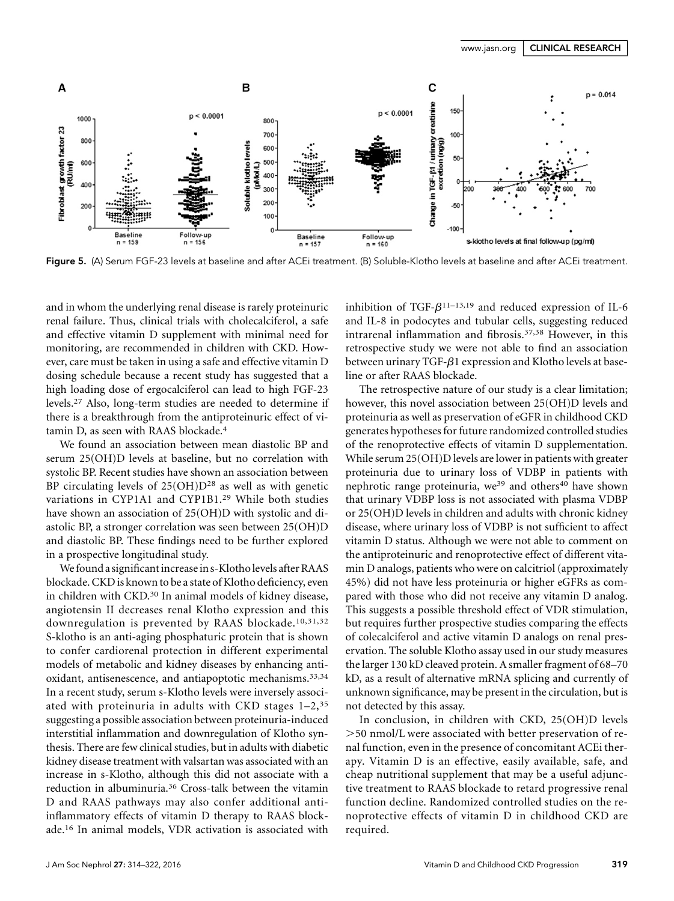

Figure 5. (A) Serum FGF-23 levels at baseline and after ACEi treatment. (B) Soluble-Klotho levels at baseline and after ACEi treatment.

and in whom the underlying renal disease is rarely proteinuric renal failure. Thus, clinical trials with cholecalciferol, a safe and effective vitamin D supplement with minimal need for monitoring, are recommended in children with CKD. However, care must be taken in using a safe and effective vitamin D dosing schedule because a recent study has suggested that a high loading dose of ergocalciferol can lead to high FGF-23 levels.27 Also, long-term studies are needed to determine if there is a breakthrough from the antiproteinuric effect of vitamin D, as seen with RAAS blockade.4

We found an association between mean diastolic BP and serum 25(OH)D levels at baseline, but no correlation with systolic BP. Recent studies have shown an association between BP circulating levels of  $25(OH)D^{28}$  as well as with genetic variations in CYP1A1 and CYP1B1.29 While both studies have shown an association of 25(OH)D with systolic and diastolic BP, a stronger correlation was seen between 25(OH)D and diastolic BP. These findings need to be further explored in a prospective longitudinal study.

Wefound a significant increase in s-Klotho levels after RAAS blockade. CKD is known to be a state of Klotho deficiency, even in children with CKD.30 In animal models of kidney disease, angiotensin II decreases renal Klotho expression and this downregulation is prevented by RAAS blockade.<sup>10,31,32</sup> S-klotho is an anti-aging phosphaturic protein that is shown to confer cardiorenal protection in different experimental models of metabolic and kidney diseases by enhancing antioxidant, antisenescence, and antiapoptotic mechanisms.33,34 In a recent study, serum s-Klotho levels were inversely associated with proteinuria in adults with CKD stages  $1-2$ ,  $35$ suggesting a possible association between proteinuria-induced interstitial inflammation and downregulation of Klotho synthesis. There are few clinical studies, but in adults with diabetic kidney disease treatment with valsartan was associated with an increase in s-Klotho, although this did not associate with a reduction in albuminuria.36 Cross-talk between the vitamin D and RAAS pathways may also confer additional antiinflammatory effects of vitamin D therapy to RAAS blockade.16 In animal models, VDR activation is associated with

inhibition of TGF- $\beta$ <sup>11–13,19</sup> and reduced expression of IL-6 and IL-8 in podocytes and tubular cells, suggesting reduced intrarenal inflammation and fibrosis.37,38 However, in this retrospective study we were not able to find an association between urinary TGF- $\beta$ 1 expression and Klotho levels at baseline or after RAAS blockade.

The retrospective nature of our study is a clear limitation; however, this novel association between 25(OH)D levels and proteinuria as well as preservation of eGFR in childhood CKD generates hypotheses for future randomized controlled studies of the renoprotective effects of vitamin D supplementation. While serum 25(OH)D levels are lower in patients with greater proteinuria due to urinary loss of VDBP in patients with nephrotic range proteinuria, we<sup>39</sup> and others<sup>40</sup> have shown that urinary VDBP loss is not associated with plasma VDBP or 25(OH)D levels in children and adults with chronic kidney disease, where urinary loss of VDBP is not sufficient to affect vitamin D status. Although we were not able to comment on the antiproteinuric and renoprotective effect of different vitamin D analogs, patients who were on calcitriol (approximately 45%) did not have less proteinuria or higher eGFRs as compared with those who did not receive any vitamin D analog. This suggests a possible threshold effect of VDR stimulation, but requires further prospective studies comparing the effects of colecalciferol and active vitamin D analogs on renal preservation. The soluble Klotho assay used in our study measures the larger 130 kD cleaved protein. A smaller fragment of 68–70 kD, as a result of alternative mRNA splicing and currently of unknown significance, may be present in the circulation, but is not detected by this assay.

In conclusion, in children with CKD, 25(OH)D levels .50 nmol/L were associated with better preservation of renal function, even in the presence of concomitant ACEi therapy. Vitamin D is an effective, easily available, safe, and cheap nutritional supplement that may be a useful adjunctive treatment to RAAS blockade to retard progressive renal function decline. Randomized controlled studies on the renoprotective effects of vitamin D in childhood CKD are required.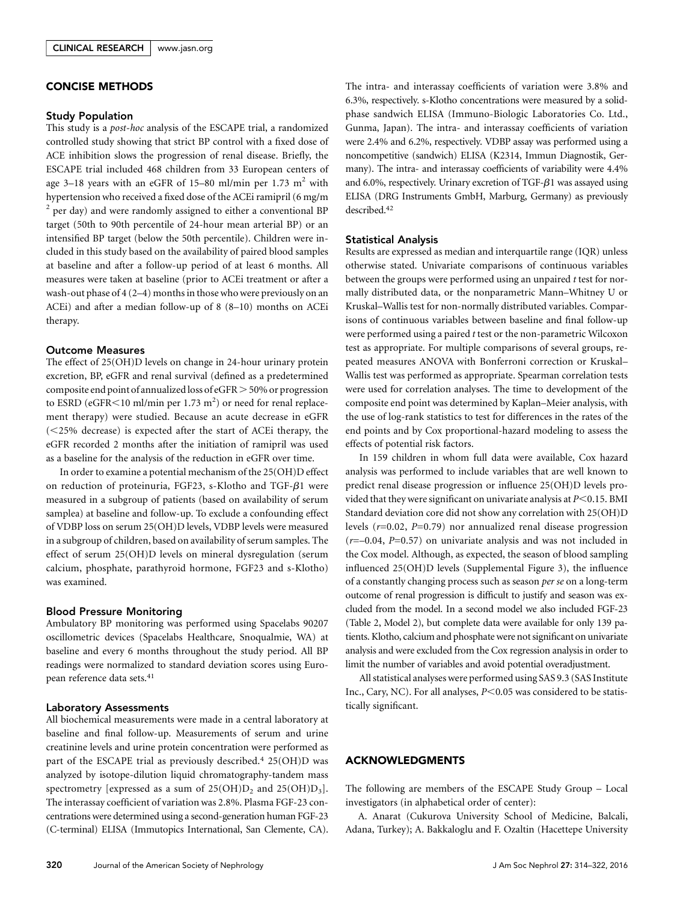# CONCISE METHODS

#### Study Population

This study is a post-hoc analysis of the ESCAPE trial, a randomized controlled study showing that strict BP control with a fixed dose of ACE inhibition slows the progression of renal disease. Briefly, the ESCAPE trial included 468 children from 33 European centers of age 3–18 years with an eGFR of 15–80 ml/min per 1.73 m<sup>2</sup> with hypertension who received a fixed dose of the ACEi ramipril (6 mg/m  $2$  per day) and were randomly assigned to either a conventional BP target (50th to 90th percentile of 24-hour mean arterial BP) or an intensified BP target (below the 50th percentile). Children were included in this study based on the availability of paired blood samples at baseline and after a follow-up period of at least 6 months. All measures were taken at baseline (prior to ACEi treatment or after a wash-out phase of 4 (2–4) months in those who were previously on an ACEi) and after a median follow-up of 8 (8–10) months on ACEi therapy.

#### Outcome Measures

The effect of 25(OH)D levels on change in 24-hour urinary protein excretion, BP, eGFR and renal survival (defined as a predetermined composite end point of annualized loss of eGFR  $>$  50% or progression to ESRD (eGFR<10 ml/min per 1.73 m<sup>2</sup>) or need for renal replacement therapy) were studied. Because an acute decrease in eGFR  $(<$ 25% decrease) is expected after the start of ACEi therapy, the eGFR recorded 2 months after the initiation of ramipril was used as a baseline for the analysis of the reduction in eGFR over time.

In order to examine a potential mechanism of the 25(OH)D effect on reduction of proteinuria, FGF23, s-Klotho and TGF- $\beta$ 1 were measured in a subgroup of patients (based on availability of serum samplea) at baseline and follow-up. To exclude a confounding effect of VDBP loss on serum 25(OH)D levels, VDBP levels were measured in a subgroup of children, based on availability of serum samples. The effect of serum 25(OH)D levels on mineral dysregulation (serum calcium, phosphate, parathyroid hormone, FGF23 and s-Klotho) was examined.

## Blood Pressure Monitoring

Ambulatory BP monitoring was performed using Spacelabs 90207 oscillometric devices (Spacelabs Healthcare, Snoqualmie, WA) at baseline and every 6 months throughout the study period. All BP readings were normalized to standard deviation scores using European reference data sets.<sup>41</sup>

#### Laboratory Assessments

All biochemical measurements were made in a central laboratory at baseline and final follow-up. Measurements of serum and urine creatinine levels and urine protein concentration were performed as part of the ESCAPE trial as previously described.<sup>4</sup> 25(OH)D was analyzed by isotope-dilution liquid chromatography-tandem mass spectrometry [expressed as a sum of  $25(OH)D_2$  and  $25(OH)D_3$ ]. The interassay coefficient of variation was 2.8%. Plasma FGF-23 concentrations were determined using a second-generation human FGF-23 (C-terminal) ELISA (Immutopics International, San Clemente, CA).

The intra- and interassay coefficients of variation were 3.8% and 6.3%, respectively. s-Klotho concentrations were measured by a solidphase sandwich ELISA (Immuno-Biologic Laboratories Co. Ltd., Gunma, Japan). The intra- and interassay coefficients of variation were 2.4% and 6.2%, respectively. VDBP assay was performed using a noncompetitive (sandwich) ELISA (K2314, Immun Diagnostik, Germany). The intra- and interassay coefficients of variability were 4.4% and 6.0%, respectively. Urinary excretion of TGF- $\beta$ 1 was assayed using ELISA (DRG Instruments GmbH, Marburg, Germany) as previously described.42

#### Statistical Analysis

Results are expressed as median and interquartile range (IQR) unless otherwise stated. Univariate comparisons of continuous variables between the groups were performed using an unpaired t test for normally distributed data, or the nonparametric Mann–Whitney U or Kruskal–Wallis test for non-normally distributed variables. Comparisons of continuous variables between baseline and final follow-up were performed using a paired  $t$  test or the non-parametric Wilcoxon test as appropriate. For multiple comparisons of several groups, repeated measures ANOVA with Bonferroni correction or Kruskal– Wallis test was performed as appropriate. Spearman correlation tests were used for correlation analyses. The time to development of the composite end point was determined by Kaplan–Meier analysis, with the use of log-rank statistics to test for differences in the rates of the end points and by Cox proportional-hazard modeling to assess the effects of potential risk factors.

In 159 children in whom full data were available, Cox hazard analysis was performed to include variables that are well known to predict renal disease progression or influence 25(OH)D levels provided that they were significant on univariate analysis at  $P<0.15$ . BMI Standard deviation core did not show any correlation with 25(OH)D levels  $(r=0.02, P=0.79)$  nor annualized renal disease progression  $(r=-0.04, P=0.57)$  on univariate analysis and was not included in the Cox model. Although, as expected, the season of blood sampling influenced 25(OH)D levels [\(Supplemental Figure 3\)](http://jasn.asnjournals.org/lookup/suppl/doi:10.1681/ASN.2014090947/-/DCSupplemental), the influence of a constantly changing process such as season per se on a long-term outcome of renal progression is difficult to justify and season was excluded from the model. In a second model we also included FGF-23 (Table 2, Model 2), but complete data were available for only 139 patients. Klotho, calcium and phosphate were not significant on univariate analysis and were excluded from the Cox regression analysis in order to limit the number of variables and avoid potential overadjustment.

All statistical analyses were performed using SAS 9.3 (SAS Institute Inc., Cary, NC). For all analyses,  $P<0.05$  was considered to be statistically significant.

## ACKNOWLEDGMENTS

The following are members of the ESCAPE Study Group – Local investigators (in alphabetical order of center):

A. Anarat (Cukurova University School of Medicine, Balcali, Adana, Turkey); A. Bakkaloglu and F. Ozaltin (Hacettepe University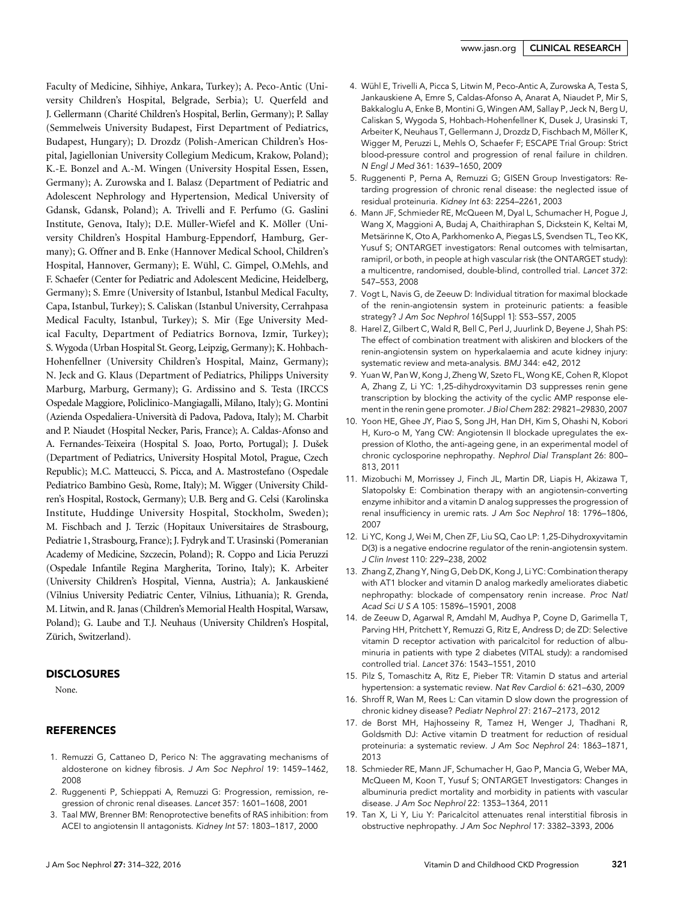Faculty of Medicine, Sihhiye, Ankara, Turkey); A. Peco-Antic (University Children's Hospital, Belgrade, Serbia); U. Querfeld and J. Gellermann (Charité Children's Hospital, Berlin, Germany); P. Sallay (Semmelweis University Budapest, First Department of Pediatrics, Budapest, Hungary); D. Drozdz (Polish-American Children's Hospital, Jagiellonian University Collegium Medicum, Krakow, Poland); K.-E. Bonzel and A.-M. Wingen (University Hospital Essen, Essen, Germany); A. Zurowska and I. Balasz (Department of Pediatric and Adolescent Nephrology and Hypertension, Medical University of Gdansk, Gdansk, Poland); A. Trivelli and F. Perfumo (G. Gaslini Institute, Genova, Italy); D.E. Müller-Wiefel and K. Möller (University Children's Hospital Hamburg-Eppendorf, Hamburg, Germany); G. Offner and B. Enke (Hannover Medical School, Children's Hospital, Hannover, Germany); E. Wühl, C. Gimpel, O.Mehls, and F. Schaefer (Center for Pediatric and Adolescent Medicine, Heidelberg, Germany); S. Emre (University of Istanbul, Istanbul Medical Faculty, Capa, Istanbul, Turkey); S. Caliskan (Istanbul University, Cerrahpasa Medical Faculty, Istanbul, Turkey); S. Mir (Ege University Medical Faculty, Department of Pediatrics Bornova, Izmir, Turkey); S. Wygoda (Urban Hospital St. Georg, Leipzig, Germany); K. Hohbach-Hohenfellner (University Children's Hospital, Mainz, Germany); N. Jeck and G. Klaus (Department of Pediatrics, Philipps University Marburg, Marburg, Germany); G. Ardissino and S. Testa (IRCCS Ospedale Maggiore, Policlinico-Mangiagalli, Milano, Italy); G. Montini (Azienda Ospedaliera-Università di Padova, Padova, Italy); M. Charbit and P. Niaudet (Hospital Necker, Paris, France); A. Caldas-Afonso and A. Fernandes-Teixeira (Hospital S. Joao, Porto, Portugal); J. Dušek (Department of Pediatrics, University Hospital Motol, Prague, Czech Republic); M.C. Matteucci, S. Picca, and A. Mastrostefano (Ospedale Pediatrico Bambino Gesù, Rome, Italy); M. Wigger (University Children's Hospital, Rostock, Germany); U.B. Berg and G. Celsi (Karolinska Institute, Huddinge University Hospital, Stockholm, Sweden); M. Fischbach and J. Terzic (Hopitaux Universitaires de Strasbourg, Pediatrie 1, Strasbourg, France); J. Fydryk and T. Urasinski (Pomeranian Academy of Medicine, Szczecin, Poland); R. Coppo and Licia Peruzzi (Ospedale Infantile Regina Margherita, Torino, Italy); K. Arbeiter (University Children's Hospital, Vienna, Austria); A. Jankauskiené (Vilnius University Pediatric Center, Vilnius, Lithuania); R. Grenda, M. Litwin, and R. Janas (Children's Memorial Health Hospital, Warsaw, Poland); G. Laube and T.J. Neuhaus (University Children's Hospital, Zürich, Switzerland).

## **DISCLOSURES**

None.

# **REFERENCES**

- 1. Remuzzi G, Cattaneo D, Perico N: The aggravating mechanisms of aldosterone on kidney fibrosis. J Am Soc Nephrol 19: 1459–1462, 2008
- 2. Ruggenenti P, Schieppati A, Remuzzi G: Progression, remission, regression of chronic renal diseases. Lancet 357: 1601–1608, 2001
- 3. Taal MW, Brenner BM: Renoprotective benefits of RAS inhibition: from ACEI to angiotensin II antagonists. Kidney Int 57: 1803–1817, 2000
- 4. Wühl E, Trivelli A, Picca S, Litwin M, Peco-Antic A, Zurowska A, Testa S, Jankauskiene A, Emre S, Caldas-Afonso A, Anarat A, Niaudet P, Mir S, Bakkaloglu A, Enke B, Montini G, Wingen AM, Sallay P, Jeck N, Berg U, Caliskan S, Wygoda S, Hohbach-Hohenfellner K, Dusek J, Urasinski T, Arbeiter K, Neuhaus T, Gellermann J, Drozdz D, Fischbach M, Möller K, Wigger M, Peruzzi L, Mehls O, Schaefer F; ESCAPE Trial Group: Strict blood-pressure control and progression of renal failure in children. N Engl J Med 361: 1639–1650, 2009
- 5. Ruggenenti P, Perna A, Remuzzi G; GISEN Group Investigators: Retarding progression of chronic renal disease: the neglected issue of residual proteinuria. Kidney Int 63: 2254–2261, 2003
- 6. Mann JF, Schmieder RE, McQueen M, Dyal L, Schumacher H, Pogue J, Wang X, Maggioni A, Budaj A, Chaithiraphan S, Dickstein K, Keltai M, Metsärinne K, Oto A, Parkhomenko A, Piegas LS, Svendsen TL, Teo KK, Yusuf S; ONTARGET investigators: Renal outcomes with telmisartan, ramipril, or both, in people at high vascular risk (the ONTARGET study): a multicentre, randomised, double-blind, controlled trial. Lancet 372: 547–553, 2008
- 7. Vogt L, Navis G, de Zeeuw D: Individual titration for maximal blockade of the renin-angiotensin system in proteinuric patients: a feasible strategy? J Am Soc Nephrol 16[Suppl 1]: S53–S57, 2005
- 8. Harel Z, Gilbert C, Wald R, Bell C, Perl J, Juurlink D, Beyene J, Shah PS: The effect of combination treatment with aliskiren and blockers of the renin-angiotensin system on hyperkalaemia and acute kidney injury: systematic review and meta-analysis. BMJ 344: e42, 2012
- 9. Yuan W, Pan W, Kong J, Zheng W, Szeto FL, Wong KE, Cohen R, Klopot A, Zhang Z, Li YC: 1,25-dihydroxyvitamin D3 suppresses renin gene transcription by blocking the activity of the cyclic AMP response element in the renin gene promoter. J Biol Chem 282: 29821–29830, 2007
- 10. Yoon HE, Ghee JY, Piao S, Song JH, Han DH, Kim S, Ohashi N, Kobori H, Kuro-o M, Yang CW: Angiotensin II blockade upregulates the expression of Klotho, the anti-ageing gene, in an experimental model of chronic cyclosporine nephropathy. Nephrol Dial Transplant 26: 800– 813, 2011
- 11. Mizobuchi M, Morrissey J, Finch JL, Martin DR, Liapis H, Akizawa T, Slatopolsky E: Combination therapy with an angiotensin-converting enzyme inhibitor and a vitamin D analog suppresses the progression of renal insufficiency in uremic rats. J Am Soc Nephrol 18: 1796–1806, 2007
- 12. Li YC, Kong J, Wei M, Chen ZF, Liu SQ, Cao LP: 1,25-Dihydroxyvitamin D(3) is a negative endocrine regulator of the renin-angiotensin system. J Clin Invest 110: 229–238, 2002
- 13. Zhang Z, Zhang Y, Ning G, Deb DK, Kong J, Li YC: Combination therapy with AT1 blocker and vitamin D analog markedly ameliorates diabetic nephropathy: blockade of compensatory renin increase. Proc Natl Acad Sci U S A 105: 15896–15901, 2008
- 14. de Zeeuw D, Agarwal R, Amdahl M, Audhya P, Coyne D, Garimella T, Parving HH, Pritchett Y, Remuzzi G, Ritz E, Andress D; de ZD: Selective vitamin D receptor activation with paricalcitol for reduction of albuminuria in patients with type 2 diabetes (VITAL study): a randomised controlled trial. Lancet 376: 1543–1551, 2010
- 15. Pilz S, Tomaschitz A, Ritz E, Pieber TR: Vitamin D status and arterial hypertension: a systematic review. Nat Rev Cardiol 6: 621–630, 2009
- 16. Shroff R, Wan M, Rees L: Can vitamin D slow down the progression of chronic kidney disease? Pediatr Nephrol 27: 2167–2173, 2012
- 17. de Borst MH, Hajhosseiny R, Tamez H, Wenger J, Thadhani R, Goldsmith DJ: Active vitamin D treatment for reduction of residual proteinuria: a systematic review. J Am Soc Nephrol 24: 1863–1871, 2013
- 18. Schmieder RE, Mann JF, Schumacher H, Gao P, Mancia G, Weber MA, McQueen M, Koon T, Yusuf S; ONTARGET Investigators: Changes in albuminuria predict mortality and morbidity in patients with vascular disease. J Am Soc Nephrol 22: 1353–1364, 2011
- 19. Tan X, Li Y, Liu Y: Paricalcitol attenuates renal interstitial fibrosis in obstructive nephropathy. J Am Soc Nephrol 17: 3382–3393, 2006